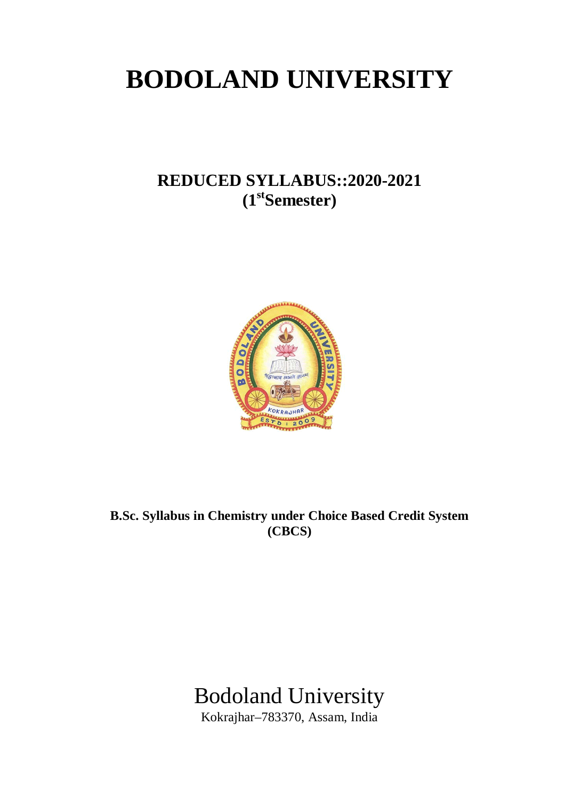# **BODOLAND UNIVERSITY**

# **REDUCED SYLLABUS::2020-2021 (1stSemester)**



**B.Sc. Syllabus in Chemistry under Choice Based Credit System (CBCS)** 

Bodoland University

Kokrajhar–783370, Assam, India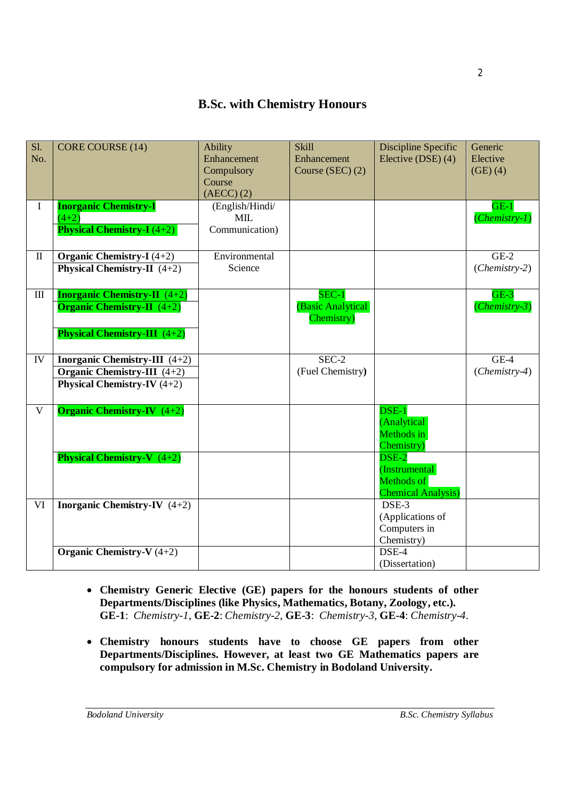# **B.Sc. with Chemistry Honours**

| S1.          | <b>CORE COURSE (14)</b>                | <b>Ability</b>  | <b>Skill</b>      | Discipline Specific       | Generic         |
|--------------|----------------------------------------|-----------------|-------------------|---------------------------|-----------------|
| No.          |                                        | Enhancement     | Enhancement       | Elective (DSE) (4)        | Elective        |
|              |                                        | Compulsory      | Course (SEC) (2)  |                           | (GE)(4)         |
|              |                                        | Course          |                   |                           |                 |
|              |                                        | $(AECC)$ $(2)$  |                   |                           |                 |
| $\mathbf I$  | <b>Inorganic Chemistry-I</b>           | (English/Hindi/ |                   |                           | $GE-1$          |
|              | $(4+2)$                                | <b>MIL</b>      |                   |                           | $(Chemistry-I)$ |
|              | <b>Physical Chemistry-I</b> (4+2)      | Communication)  |                   |                           |                 |
| $\mathbf{I}$ | Organic Chemistry-I $(4+2)$            | Environmental   |                   |                           | $GE-2$          |
|              | <b>Physical Chemistry-II</b> $(4+2)$   | Science         |                   |                           | $(Chemistry-2)$ |
|              |                                        |                 |                   |                           |                 |
| III          | <b>Inorganic Chemistry-II</b> $(4+2)$  |                 | $SEC-1$           |                           | $GE-3$          |
|              | <b>Organic Chemistry-II</b> $(4+2)$    |                 | (Basic Analytical |                           | (Chemistry-3)   |
|              |                                        |                 | Chemistry)        |                           |                 |
|              | <b>Physical Chemistry-III</b> (4+2)    |                 |                   |                           |                 |
|              |                                        |                 |                   |                           |                 |
| IV           | <b>Inorganic Chemistry-III</b> $(4+2)$ |                 | SEC-2             |                           | $GE-4$          |
|              | Organic Chemistry-III $(4+2)$          |                 | (Fuel Chemistry)  |                           | (Chemistry-4)   |
|              | <b>Physical Chemistry-IV</b> $(4+2)$   |                 |                   |                           |                 |
| $\mathbf{V}$ | <b>Organic Chemistry-IV</b> $(4+2)$    |                 |                   |                           |                 |
|              |                                        |                 |                   | (Analytical               |                 |
|              |                                        |                 |                   | Methods in                |                 |
|              |                                        |                 |                   | Chemistry)                |                 |
|              | <b>Physical Chemistry-V</b> $(4+2)$    |                 |                   | $\overline{\text{DSE-2}}$ |                 |
|              |                                        |                 |                   | (Instrumental             |                 |
|              |                                        |                 |                   | Methods of                |                 |
|              |                                        |                 |                   | <b>Chemical Analysis)</b> |                 |
| VI           | <b>Inorganic Chemistry-IV</b> $(4+2)$  |                 |                   | $DSE-3$                   |                 |
|              |                                        |                 |                   | (Applications of          |                 |
|              |                                        |                 |                   | Computers in              |                 |
|              |                                        |                 |                   | Chemistry)                |                 |
|              | Organic Chemistry-V $(4+2)$            |                 |                   | DSE-4                     |                 |
|              |                                        |                 |                   | (Dissertation)            |                 |

- **Chemistry Generic Elective (GE) papers for the honours students of other Departments/Disciplines (like Physics, Mathematics, Botany, Zoology, etc.). GE-1**: *Chemistry-1*, **GE-2**: *Chemistry-2*, **GE-3**: *Chemistry-3*, **GE-4**: *Chemistry*-*4*.
- **Chemistry honours students have to choose GE papers from other Departments/Disciplines. However, at least two GE Mathematics papers are compulsory for admission in M.Sc. Chemistry in Bodoland University.**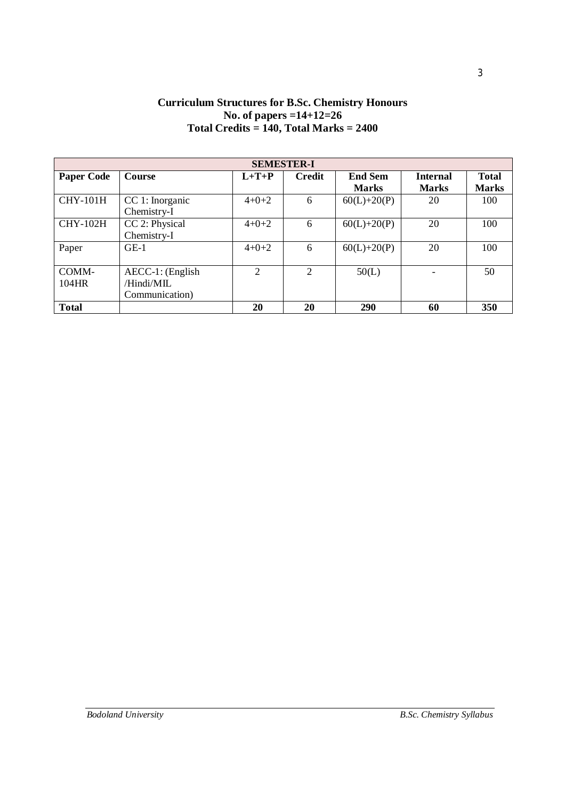# **Curriculum Structures for B.Sc. Chemistry Honours No. of papers =14+12=26 Total Credits = 140, Total Marks = 2400**

| <b>SEMESTER-I</b> |                     |                |               |                |                 |              |  |  |  |  |
|-------------------|---------------------|----------------|---------------|----------------|-----------------|--------------|--|--|--|--|
| <b>Paper Code</b> | <b>Course</b>       | $L+T+P$        | <b>Credit</b> | <b>End Sem</b> | <b>Internal</b> | <b>Total</b> |  |  |  |  |
|                   |                     |                |               | <b>Marks</b>   | <b>Marks</b>    | <b>Marks</b> |  |  |  |  |
| <b>CHY-101H</b>   | CC 1: Inorganic     | $4 + 0 + 2$    | 6             | $60(L)+20(P)$  | 20              | 100          |  |  |  |  |
|                   | Chemistry-I         |                |               |                |                 |              |  |  |  |  |
| <b>CHY-102H</b>   | CC 2: Physical      | $4+0+2$        | 6             | $60(L)+20(P)$  | 20              | 100          |  |  |  |  |
|                   | Chemistry-I         |                |               |                |                 |              |  |  |  |  |
| Paper             | $GE-1$              | $4+0+2$        | 6             | $60(L)+20(P)$  | 20              | 100          |  |  |  |  |
|                   |                     |                |               |                |                 |              |  |  |  |  |
| COMM-             | $AECC-1$ : (English | $\overline{2}$ | 2             | 50(L)          |                 | 50           |  |  |  |  |
| 104HR             | /Hindi/MIL          |                |               |                |                 |              |  |  |  |  |
|                   | Communication)      |                |               |                |                 |              |  |  |  |  |
| <b>Total</b>      |                     | 20             | 20            | 290            | 60              | 350          |  |  |  |  |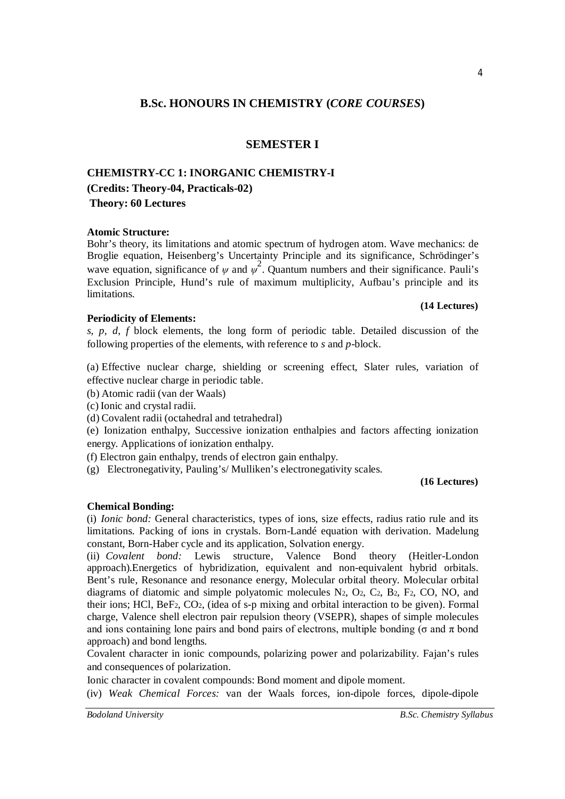# **B.Sc. HONOURS IN CHEMISTRY (***CORE COURSES***)**

# **SEMESTER I**

# **CHEMISTRY-CC 1: INORGANIC CHEMISTRY-I (Credits: Theory-04, Practicals-02) Theory: 60 Lectures**

#### **Atomic Structure:**

Bohr's theory, its limitations and atomic spectrum of hydrogen atom. Wave mechanics: de Broglie equation, Heisenberg's Uncertainty Principle and its significance, Schrödinger's wave equation, significance of  $\psi$  and  $\psi^2$ . Quantum numbers and their significance. Pauli's Exclusion Principle, Hund's rule of maximum multiplicity, Aufbau's principle and its limitations.

#### **(14 Lectures)**

#### **Periodicity of Elements:**

*s*, *p*, *d*, *f* block elements, the long form of periodic table. Detailed discussion of the following properties of the elements, with reference to *s* and *p*-block.

(a) Effective nuclear charge, shielding or screening effect, Slater rules, variation of effective nuclear charge in periodic table.

(b) Atomic radii (van der Waals)

(c) Ionic and crystal radii.

(d) Covalent radii (octahedral and tetrahedral)

(e) Ionization enthalpy, Successive ionization enthalpies and factors affecting ionization energy. Applications of ionization enthalpy.

(f) Electron gain enthalpy, trends of electron gain enthalpy.

(g) Electronegativity, Pauling's/ Mulliken's electronegativity scales.

#### **(16 Lectures)**

# **Chemical Bonding:**

(i) *Ionic bond:* General characteristics, types of ions, size effects, radius ratio rule and its limitations. Packing of ions in crystals. Born-Landé equation with derivation. Madelung constant, Born-Haber cycle and its application, Solvation energy.

(ii) *Covalent bond:* Lewis structure, Valence Bond theory (Heitler-London approach).Energetics of hybridization, equivalent and non-equivalent hybrid orbitals. Bent's rule, Resonance and resonance energy, Molecular orbital theory. Molecular orbital diagrams of diatomic and simple polyatomic molecules  $N_2$ ,  $O_2$ ,  $C_2$ ,  $B_2$ ,  $F_2$ ,  $CO$ ,  $NO$ , and their ions; HCl, BeF2, CO2, (idea of s-p mixing and orbital interaction to be given). Formal charge, Valence shell electron pair repulsion theory (VSEPR), shapes of simple molecules and ions containing lone pairs and bond pairs of electrons, multiple bonding ( $\sigma$  and  $\pi$  bond approach) and bond lengths.

Covalent character in ionic compounds, polarizing power and polarizability. Fajan's rules and consequences of polarization.

Ionic character in covalent compounds: Bond moment and dipole moment.

(iv) *Weak Chemical Forces:* van der Waals forces, ion-dipole forces, dipole-dipole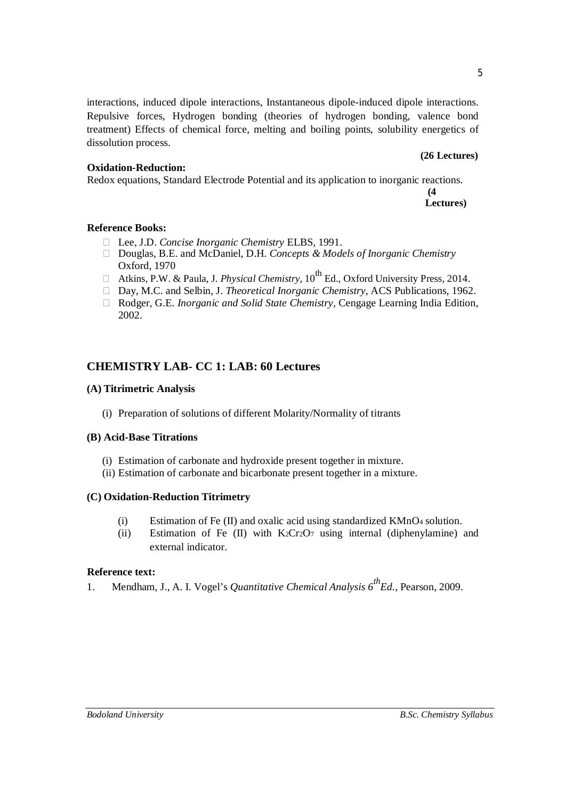interactions, induced dipole interactions, Instantaneous dipole-induced dipole interactions. Repulsive forces, Hydrogen bonding (theories of hydrogen bonding, valence bond treatment) Effects of chemical force, melting and boiling points, solubility energetics of dissolution process.

#### **(26 Lectures)**

#### **Oxidation-Reduction:**

Redox equations, Standard Electrode Potential and its application to inorganic reactions.

**(4 Lectures)**

#### **Reference Books:**

- Lee, J.D. *Concise Inorganic Chemistry* ELBS, 1991.
- □ Douglas, B.E. and McDaniel, D.H. *Concepts & Models of Inorganic Chemistry* Oxford, 1970
- Atkins, P.W. & Paula, J. *Physical Chemistry*,  $10^{th}$  Ed., Oxford University Press, 2014.
- □ Day, M.C. and Selbin, J. *Theoretical Inorganic Chemistry*, ACS Publications, 1962.
- Rodger, G.E. *Inorganic and Solid State Chemistry*, Cengage Learning India Edition, 2002.

# **CHEMISTRY LAB- CC 1: LAB: 60 Lectures**

# **(A) Titrimetric Analysis**

(i) Preparation of solutions of different Molarity/Normality of titrants

# **(B) Acid-Base Titrations**

- (i) Estimation of carbonate and hydroxide present together in mixture.
- (ii) Estimation of carbonate and bicarbonate present together in a mixture.

# **(C) Oxidation-Reduction Titrimetry**

- (i) Estimation of Fe (II) and oxalic acid using standardized KMnO<sup>4</sup> solution.
- (ii) Estimation of Fe (II) with K2Cr2O<sup>7</sup> using internal (diphenylamine) and external indicator.

# **Reference text:**

1. Mendham, J., A. I. Vogel's *Quantitative Chemical Analysis 6thEd.,* Pearson, 2009.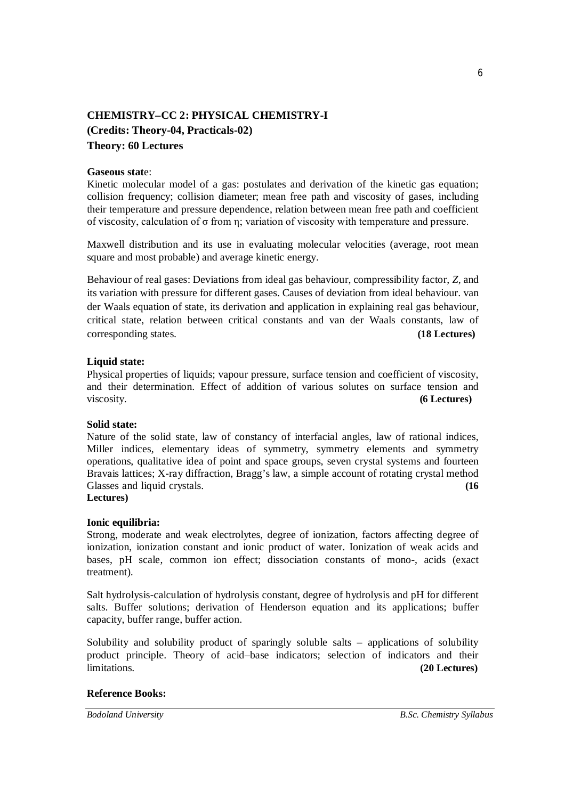# **CHEMISTRY–CC 2: PHYSICAL CHEMISTRY-I (Credits: Theory-04, Practicals-02) Theory: 60 Lectures**

#### **Gaseous stat**e:

Kinetic molecular model of a gas: postulates and derivation of the kinetic gas equation; collision frequency; collision diameter; mean free path and viscosity of gases, including their temperature and pressure dependence, relation between mean free path and coefficient of viscosity, calculation of σ from η; variation of viscosity with temperature and pressure.

Maxwell distribution and its use in evaluating molecular velocities (average, root mean square and most probable) and average kinetic energy.

Behaviour of real gases: Deviations from ideal gas behaviour, compressibility factor, *Z*, and its variation with pressure for different gases. Causes of deviation from ideal behaviour. van der Waals equation of state, its derivation and application in explaining real gas behaviour, critical state, relation between critical constants and van der Waals constants, law of corresponding states. **(18 Lectures)**

#### **Liquid state:**

Physical properties of liquids; vapour pressure, surface tension and coefficient of viscosity, and their determination. Effect of addition of various solutes on surface tension and viscosity. **(6 Lectures)**

#### **Solid state:**

Nature of the solid state, law of constancy of interfacial angles, law of rational indices, Miller indices, elementary ideas of symmetry, symmetry elements and symmetry operations, qualitative idea of point and space groups, seven crystal systems and fourteen Bravais lattices; X-ray diffraction, Bragg's law, a simple account of rotating crystal method Glasses and liquid crystals. **(16**) (16 **Lectures)**

#### **Ionic equilibria:**

Strong, moderate and weak electrolytes, degree of ionization, factors affecting degree of ionization, ionization constant and ionic product of water. Ionization of weak acids and bases, pH scale, common ion effect; dissociation constants of mono-, acids (exact treatment).

Salt hydrolysis-calculation of hydrolysis constant, degree of hydrolysis and pH for different salts. Buffer solutions; derivation of Henderson equation and its applications; buffer capacity, buffer range, buffer action.

Solubility and solubility product of sparingly soluble salts – applications of solubility product principle. Theory of acid–base indicators; selection of indicators and their limitations. **(20 Lectures)**

#### **Reference Books:**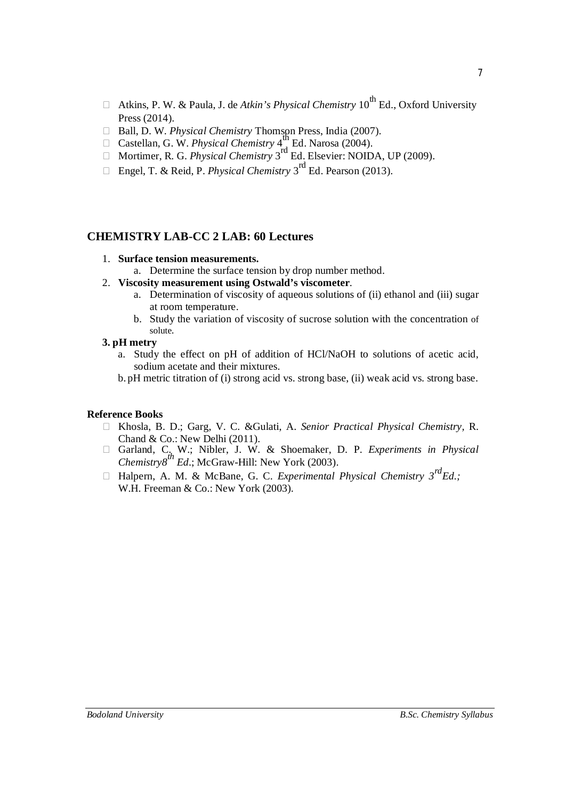- Atkins, P. W. & Paula, J. de *Atkin's Physical Chemistry*  $10^{th}$  Ed., Oxford University Press (2014).
- □ Ball, D. W. *Physical Chemistry* Thomson Press, India (2007).
- $\Box$  Ban, B. W. *Physical Chemistry* 4<sup>th</sup> Ed. Narosa (2004).
- Mortimer, R. G. *Physical Chemistry* 3 rd Ed. Elsevier: NOIDA, UP (2009).
- □ Engel, T. & Reid, P. *Physical Chemistry* 3<sup>rd</sup> Ed. Pearson (2013).

# **CHEMISTRY LAB-CC 2 LAB: 60 Lectures**

- 1. **Surface tension measurements.** 
	- a. Determine the surface tension by drop number method.
- 2. **Viscosity measurement using Ostwald's viscometer**.
	- a. Determination of viscosity of aqueous solutions of (ii) ethanol and (iii) sugar at room temperature.
	- b. Study the variation of viscosity of sucrose solution with the concentration of solute.

#### **3. pH metry**

- a. Study the effect on pH of addition of HCl/NaOH to solutions of acetic acid, sodium acetate and their mixtures.
- b. pH metric titration of (i) strong acid vs. strong base, (ii) weak acid vs. strong base.

#### **Reference Books**

- Khosla, B. D.; Garg, V. C. &Gulati, A. *Senior Practical Physical Chemistry,* R. Chand & Co.: New Delhi (2011).
- □ Garland, C. W.; Nibler, J. W. & Shoemaker, D. P. *Experiments in Physical Chemistry8<sup>th</sup> Ed.*; McGraw-Hill: New York (2003).
- Halpern, A. M. & McBane, G. C. *Experimental Physical Chemistry 3rdEd.;* W.H. Freeman & Co.: New York (2003).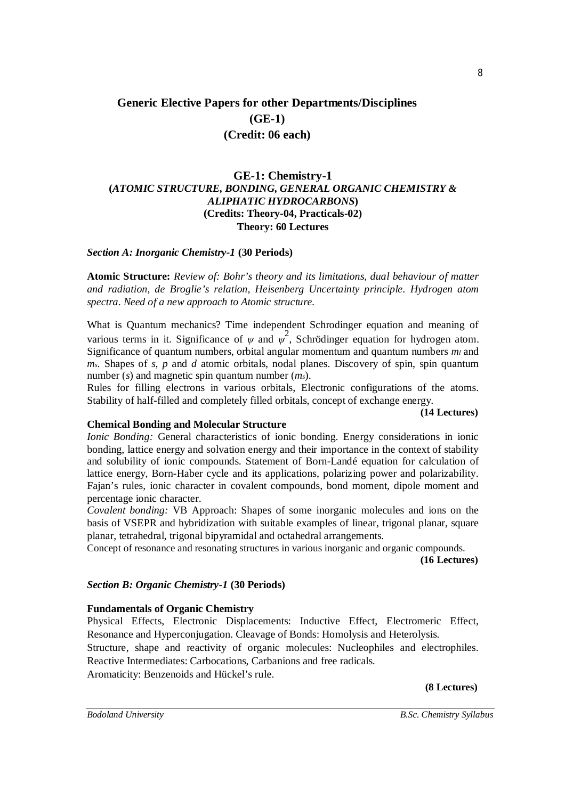# **Generic Elective Papers for other Departments/Disciplines (GE-1) (Credit: 06 each)**

# **GE-1: Chemistry-1 (***ATOMIC STRUCTURE, BONDING, GENERAL ORGANIC CHEMISTRY & ALIPHATIC HYDROCARBONS***) (Credits: Theory-04, Practicals-02) Theory: 60 Lectures**

#### *Section A: Inorganic Chemistry-1* **(30 Periods)**

**Atomic Structure:** *Review of: Bohr's theory and its limitations, dual behaviour of matter and radiation, de Broglie's relation, Heisenberg Uncertainty principle. Hydrogen atom spectra. Need of a new approach to Atomic structure.*

What is Quantum mechanics? Time independent Schrodinger equation and meaning of various terms in it. Significance of  $\psi$  and  $\psi^2$ , Schrödinger equation for hydrogen atom. Significance of quantum numbers, orbital angular momentum and quantum numbers *mi* and *ms*. Shapes of *s*, *p* and *d* atomic orbitals, nodal planes. Discovery of spin, spin quantum number (*s*) and magnetic spin quantum number (*ms*).

Rules for filling electrons in various orbitals, Electronic configurations of the atoms. Stability of half-filled and completely filled orbitals, concept of exchange energy.

**(14 Lectures)**

#### **Chemical Bonding and Molecular Structure**

*Ionic Bonding:* General characteristics of ionic bonding*.* Energy considerations in ionic bonding, lattice energy and solvation energy and their importance in the context of stability and solubility of ionic compounds. Statement of Born-Landé equation for calculation of lattice energy, Born-Haber cycle and its applications, polarizing power and polarizability. Fajan's rules, ionic character in covalent compounds, bond moment, dipole moment and percentage ionic character.

*Covalent bonding:* VB Approach: Shapes of some inorganic molecules and ions on the basis of VSEPR and hybridization with suitable examples of linear, trigonal planar, square planar, tetrahedral, trigonal bipyramidal and octahedral arrangements.

Concept of resonance and resonating structures in various inorganic and organic compounds. **(16 Lectures)**

#### *Section B: Organic Chemistry-1* **(30 Periods)**

#### **Fundamentals of Organic Chemistry**

Physical Effects, Electronic Displacements: Inductive Effect, Electromeric Effect, Resonance and Hyperconjugation. Cleavage of Bonds: Homolysis and Heterolysis. Structure, shape and reactivity of organic molecules: Nucleophiles and electrophiles. Reactive Intermediates: Carbocations, Carbanions and free radicals.

Aromaticity: Benzenoids and Hückel's rule.

#### **(8 Lectures)**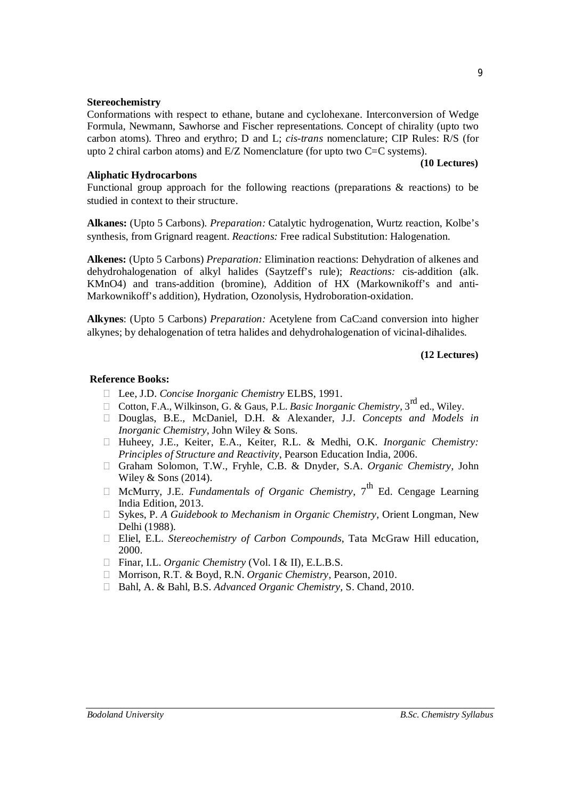#### **Stereochemistry**

Conformations with respect to ethane, butane and cyclohexane. Interconversion of Wedge Formula, Newmann, Sawhorse and Fischer representations. Concept of chirality (upto two carbon atoms). Threo and erythro; D and L; *cis*-*trans* nomenclature; CIP Rules: R/S (for upto 2 chiral carbon atoms) and  $E/Z$  Nomenclature (for upto two C=C systems).

#### **(10 Lectures)**

#### **Aliphatic Hydrocarbons**

Functional group approach for the following reactions (preparations & reactions) to be studied in context to their structure.

**Alkanes:** (Upto 5 Carbons). *Preparation:* Catalytic hydrogenation, Wurtz reaction, Kolbe's synthesis, from Grignard reagent. *Reactions:* Free radical Substitution: Halogenation.

**Alkenes:** (Upto 5 Carbons) *Preparation:* Elimination reactions: Dehydration of alkenes and dehydrohalogenation of alkyl halides (Saytzeff's rule); *Reactions:* cis-addition (alk. KMnO4) and trans-addition (bromine), Addition of HX (Markownikoff's and anti-Markownikoff's addition), Hydration, Ozonolysis, Hydroboration-oxidation.

**Alkynes**: (Upto 5 Carbons) *Preparation:* Acetylene from CaC2and conversion into higher alkynes; by dehalogenation of tetra halides and dehydrohalogenation of vicinal-dihalides.

**(12 Lectures)**

#### **Reference Books:**

- Lee, J.D. *Concise Inorganic Chemistry* ELBS, 1991.
- □ Cotton, F.A., Wilkinson, G. & Gaus, P.L. *Basic Inorganic Chemistry*, 3<sup>rd</sup> ed., Wiley.
- Douglas, B.E., McDaniel, D.H. & Alexander, J.J. *Concepts and Models in Inorganic Chemistry*, John Wiley & Sons.
- Huheey, J.E., Keiter, E.A., Keiter, R.L. & Medhi, O.K. *Inorganic Chemistry: Principles of Structure and Reactivity*, Pearson Education India, 2006.
- Graham Solomon, T.W., Fryhle, C.B. & Dnyder, S.A. *Organic Chemistry,* John Wiley & Sons (2014).
- $\Box$  McMurry, J.E. *Fundamentals of Organic Chemistry*,  $7^{\text{th}}$  Ed. Cengage Learning India Edition, 2013.
- Sykes, P. *A Guidebook to Mechanism in Organic Chemistry,* Orient Longman, New Delhi (1988).
- Eliel, E.L. *Stereochemistry of Carbon Compounds*, Tata McGraw Hill education, 2000.
- □ Finar, I.L. *Organic Chemistry* (Vol. I & II), E.L.B.S.
- Morrison, R.T. & Boyd, R.N. *Organic Chemistry*, Pearson, 2010.
- Bahl, A. & Bahl, B.S. *Advanced Organic Chemistry,* S. Chand, 2010.